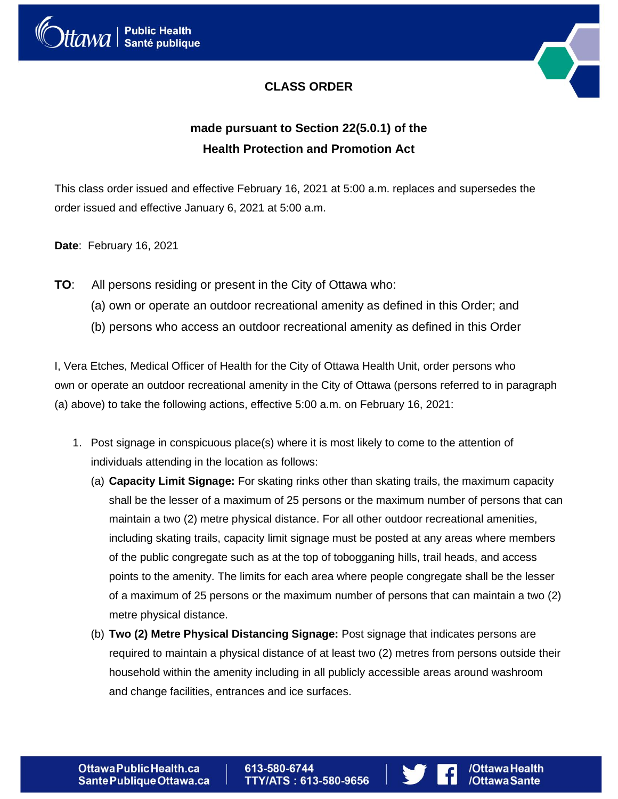

### **CLASS ORDER**



## **made pursuant to Section 22(5.0.1) of the Health Protection and Promotion Act**

This class order issued and effective February 16, 2021 at 5:00 a.m. replaces and supersedes the order issued and effective January 6, 2021 at 5:00 a.m.

**Date**: February 16, 2021

- **TO**: All persons residing or present in the City of Ottawa who:
	- (a) own or operate an outdoor recreational amenity as defined in this Order; and
	- (b) persons who access an outdoor recreational amenity as defined in this Order

I, Vera Etches, Medical Officer of Health for the City of Ottawa Health Unit, order persons who own or operate an outdoor recreational amenity in the City of Ottawa (persons referred to in paragraph (a) above) to take the following actions, effective 5:00 a.m. on February 16, 2021:

- 1. Post signage in conspicuous place(s) where it is most likely to come to the attention of individuals attending in the location as follows:
	- (a) **Capacity Limit Signage:** For skating rinks other than skating trails, the maximum capacity shall be the lesser of a maximum of 25 persons or the maximum number of persons that can maintain a two (2) metre physical distance. For all other outdoor recreational amenities, including skating trails, capacity limit signage must be posted at any areas where members of the public congregate such as at the top of tobogganing hills, trail heads, and access points to the amenity. The limits for each area where people congregate shall be the lesser of a maximum of 25 persons or the maximum number of persons that can maintain a two (2) metre physical distance.
	- (b) **Two (2) Metre Physical Distancing Signage:** Post signage that indicates persons are required to maintain a physical distance of at least two (2) metres from persons outside their household within the amenity including in all publicly accessible areas around washroom and change facilities, entrances and ice surfaces.

613-580-6744 TTY/ATS: 613-580-9656



/OttawaHealth

/OttawaSante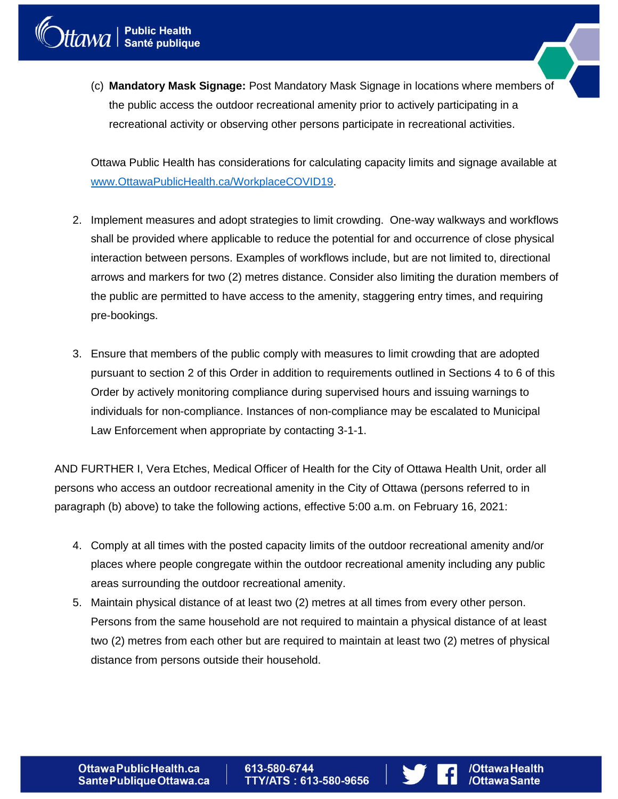(c) **Mandatory Mask Signage:** Post Mandatory Mask Signage in locations where members of the public access the outdoor recreational amenity prior to actively participating in a recreational activity or observing other persons participate in recreational activities.

Ottawa Public Health has considerations for calculating capacity limits and signage available at [www.OttawaPublicHealth.ca/WorkplaceCOVID19.](http://www.ottawapublichealth.ca/WorkplaceCOVID19)

- 2. Implement measures and adopt strategies to limit crowding. One-way walkways and workflows shall be provided where applicable to reduce the potential for and occurrence of close physical interaction between persons. Examples of workflows include, but are not limited to, directional arrows and markers for two (2) metres distance. Consider also limiting the duration members of the public are permitted to have access to the amenity, staggering entry times, and requiring pre-bookings.
- 3. Ensure that members of the public comply with measures to limit crowding that are adopted pursuant to section 2 of this Order in addition to requirements outlined in Sections 4 to 6 of this Order by actively monitoring compliance during supervised hours and issuing warnings to individuals for non-compliance. Instances of non-compliance may be escalated to Municipal Law Enforcement when appropriate by contacting 3-1-1.

AND FURTHER I, Vera Etches, Medical Officer of Health for the City of Ottawa Health Unit, order all persons who access an outdoor recreational amenity in the City of Ottawa (persons referred to in paragraph (b) above) to take the following actions, effective 5:00 a.m. on February 16, 2021:

- 4. Comply at all times with the posted capacity limits of the outdoor recreational amenity and/or places where people congregate within the outdoor recreational amenity including any public areas surrounding the outdoor recreational amenity.
- 5. Maintain physical distance of at least two (2) metres at all times from every other person. Persons from the same household are not required to maintain a physical distance of at least two (2) metres from each other but are required to maintain at least two (2) metres of physical distance from persons outside their household.

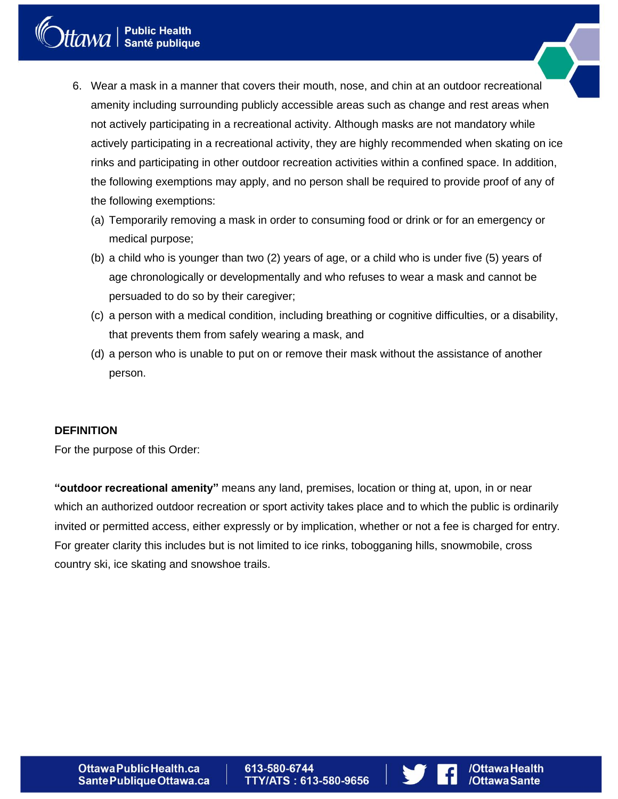# Manie Public Health<br>Manie publique

- 6. Wear a mask in a manner that covers their mouth, nose, and chin at an outdoor recreational amenity including surrounding publicly accessible areas such as change and rest areas when not actively participating in a recreational activity. Although masks are not mandatory while actively participating in a recreational activity, they are highly recommended when skating on ice rinks and participating in other outdoor recreation activities within a confined space. In addition, the following exemptions may apply, and no person shall be required to provide proof of any of the following exemptions:
	- (a) Temporarily removing a mask in order to consuming food or drink or for an emergency or medical purpose;
	- (b) a child who is younger than two (2) years of age, or a child who is under five (5) years of age chronologically or developmentally and who refuses to wear a mask and cannot be persuaded to do so by their caregiver;
	- (c) a person with a medical condition, including breathing or cognitive difficulties, or a disability, that prevents them from safely wearing a mask, and
	- (d) a person who is unable to put on or remove their mask without the assistance of another person.

#### **DEFINITION**

For the purpose of this Order:

**"outdoor recreational amenity"** means any land, premises, location or thing at, upon, in or near which an authorized outdoor recreation or sport activity takes place and to which the public is ordinarily invited or permitted access, either expressly or by implication, whether or not a fee is charged for entry. For greater clarity this includes but is not limited to ice rinks, tobogganing hills, snowmobile, cross country ski, ice skating and snowshoe trails.

613-580-6744 TTY/ATS: 613-580-9656

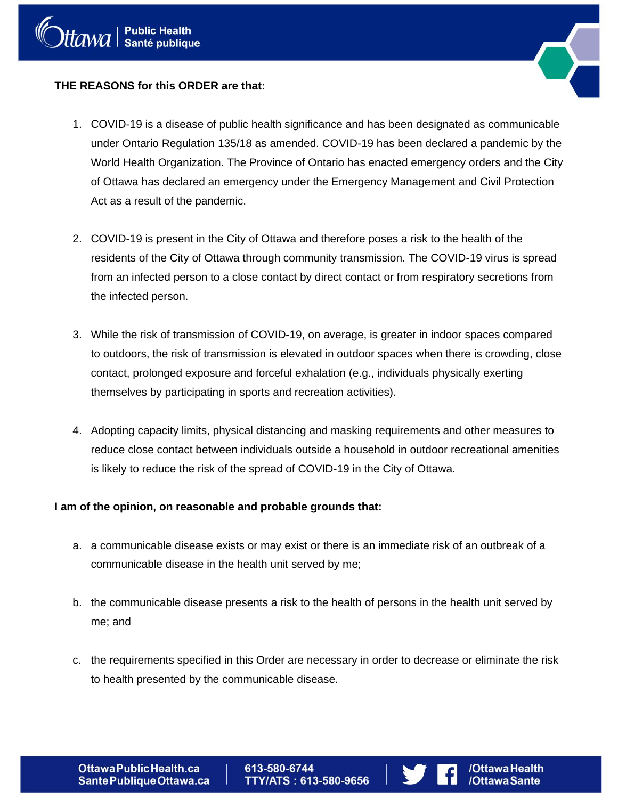

#### **THE REASONS for this ORDER are that:**

- 1. COVID-19 is a disease of public health significance and has been designated as communicable under Ontario Regulation 135/18 as amended. COVID-19 has been declared a pandemic by the World Health Organization. The Province of Ontario has enacted emergency orders and the City of Ottawa has declared an emergency under the Emergency Management and Civil Protection Act as a result of the pandemic.
- 2. COVID-19 is present in the City of Ottawa and therefore poses a risk to the health of the residents of the City of Ottawa through community transmission. The COVID-19 virus is spread from an infected person to a close contact by direct contact or from respiratory secretions from the infected person.
- 3. While the risk of transmission of COVID-19, on average, is greater in indoor spaces compared to outdoors, the risk of transmission is elevated in outdoor spaces when there is crowding, close contact, prolonged exposure and forceful exhalation (e.g., individuals physically exerting themselves by participating in sports and recreation activities).
- 4. Adopting capacity limits, physical distancing and masking requirements and other measures to reduce close contact between individuals outside a household in outdoor recreational amenities is likely to reduce the risk of the spread of COVID-19 in the City of Ottawa.

#### **I am of the opinion, on reasonable and probable grounds that:**

- a. a communicable disease exists or may exist or there is an immediate risk of an outbreak of a communicable disease in the health unit served by me;
- b. the communicable disease presents a risk to the health of persons in the health unit served by me; and
- c. the requirements specified in this Order are necessary in order to decrease or eliminate the risk to health presented by the communicable disease.